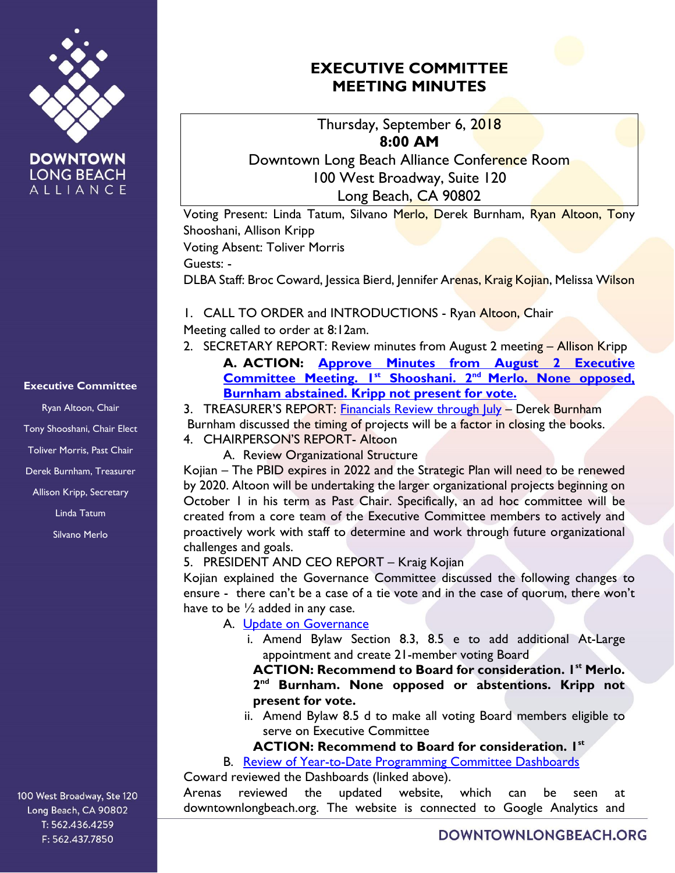

**DOWNTOWN LONG BEACH** ALLIANCE

# **EXECUTIVE COMMITTEE MEETING MINUTES**

Thursday, September 6, 2018 **8:00 AM**

Downtown Long Beach Alliance Conference Room 100 West Broadway, Suite 120 Long Beach, CA 90802

Voting Present: Linda Tatum, Silvano Merlo, Derek Burnham, Ryan Altoon, Tony Shooshani, Allison Kripp

Voting Absent: Toliver Morris

Guests: -

DLBA Staff: Broc Coward, Jessica Bierd, Jennifer Arenas, Kraig Kojian, Melissa Wilson

1. CALL TO ORDER and INTRODUCTIONS - Ryan Altoon, Chair Meeting called to order at 8:12am.

2. SECRETARY REPORT: Review minutes from August 2 meeting - Allison Kripp **A. ACTION: [Approve Minutes from August 2](https://downtownlongbeach.org/wp-content/uploads/2018/08/EC-Agenda-8-2-18-Minutes.pdf) Executive [Committee Meeting.](https://downtownlongbeach.org/wp-content/uploads/2018/08/EC-Agenda-8-2-18-Minutes.pdf) 1st Shooshani. 2nd Merlo. None opposed, Burnham abstained. Kripp not present for vote.** 

3. TREASURER'S REPORT: [Financials Review](https://downtownlongbeach.org/wp-content/uploads/2018/08/DLBA-Financial-Package-2018-Jul-08.21.18.pdf) through July - Derek Burnham Burnham discussed the timing of projects will be a factor in closing the books. 4. CHAIRPERSON'S REPORT- Altoon

A. Review Organizational Structure

Kojian – The PBID expires in 2022 and the Strategic Plan will need to be renewed by 2020. Altoon will be undertaking the larger organizational projects beginning on October 1 in his term as Past Chair. Specifically, an ad hoc committee will be created from a core team of the Executive Committee members to actively and proactively work with staff to determine and work through future organizational challenges and goals.

### 5. PRESIDENT AND CEO REPORT – Kraig Kojian

Kojian explained the Governance Committee discussed the following changes to ensure - there can't be a case of a tie vote and in the case of quorum, there won't have to be  $\frac{1}{2}$  added in any case.

# A. [Update on Governance](https://downtownlongbeach.org/wp-content/uploads/2018/08/Action-Report-5A-.-V2-EC-Agenda-9-6-18.pdf)

i. Amend Bylaw Section 8.3, 8.5 e to add additional At-Large appointment and create 21-member voting Board

**ACTION: Recommend to Board for consideration. 1st Merlo. 2 nd Burnham. None opposed or abstentions. Kripp not present for vote.** 

- ii. Amend Bylaw 8.5 d to make all voting Board members eligible to serve on Executive Committee
- **ACTION: Recommend to Board for consideration. 1st**

B. [Review of Year-to-Date Programming Committee Dashboards](https://downtownlongbeach.org/dashboards/) Coward reviewed the Dashboards (linked above).

Arenas reviewed the updated website, which can be seen at downtownlongbeach.org. The website is connected to Google Analytics and

### **Executive Committee**

Ryan Altoon, Chair Tony Shooshani, Chair Elect Toliver Morris, Past Chair Derek Burnham, Treasurer Allison Kripp, Secretary Linda Tatum Silvano Merlo

100 West Broadway, Ste 120 Long Beach, CA 90802 T: 562.436.4259 F: 562.437.7850